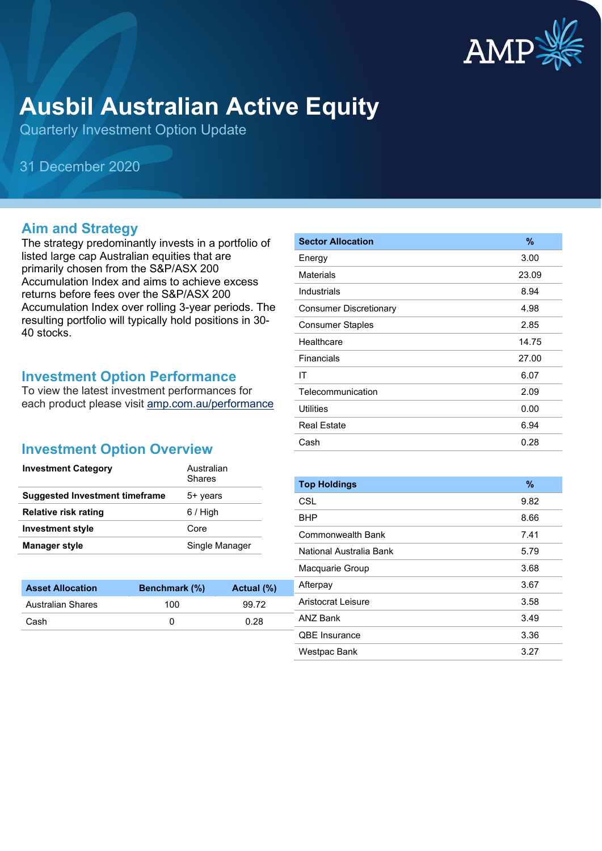

# **Ausbil Australian Active Equity**

Quarterly Investment Option Update

31 December 2020

#### **Aim and Strategy**

The strategy predominantly invests in a portfolio of listed large cap Australian equities that are primarily chosen from the S&P/ASX 200 Accumulation Index and aims to achieve excess returns before fees over the S&P/ASX 200 Accumulation Index over rolling 3-year periods. The resulting portfolio will typically hold positions in 30- 40 stocks.

#### **Investment Option Performance**

To view the latest investment performances for each product please visit [amp.com.au/performance](https://www.amp.com.au/performance)

### **Investment Option Overview**

| <b>Investment Category</b>            | Australian<br>Shares |
|---------------------------------------|----------------------|
| <b>Suggested Investment timeframe</b> | 5+ years             |
| <b>Relative risk rating</b>           | $6/$ High            |
| <b>Investment style</b>               | Core                 |
| <b>Manager style</b>                  | Single Manager       |

| <b>Asset Allocation</b>  | <b>Benchmark</b> (%) | Actual (%) |
|--------------------------|----------------------|------------|
| <b>Australian Shares</b> | 100                  | 99.72      |
| Cash                     |                      | 0.28       |

| <b>Sector Allocation</b>      | $\frac{9}{6}$ |
|-------------------------------|---------------|
| Energy                        | 3.00          |
| Materials                     | 23.09         |
| Industrials                   | 8.94          |
| <b>Consumer Discretionary</b> | 4.98          |
| <b>Consumer Staples</b>       | 2.85          |
| Healthcare                    | 14.75         |
| Financials                    | 27.00         |
| ΙT                            | 6.07          |
| Telecommunication             | 2.09          |
| <b>Utilities</b>              | 0.00          |
| <b>Real Estate</b>            | 6.94          |
| Cash                          | 0.28          |

| <b>Top Holdings</b>     | $\%$ |
|-------------------------|------|
| <b>CSL</b>              | 9.82 |
| BHP                     | 8.66 |
| Commonwealth Bank       | 7.41 |
| National Australia Bank | 5.79 |
| Macquarie Group         | 3.68 |
| Afterpay                | 3.67 |
| Aristocrat Leisure      | 3.58 |
| ANZ Bank                | 3.49 |
| <b>QBE</b> Insurance    | 3.36 |
| Westpac Bank            | 3.27 |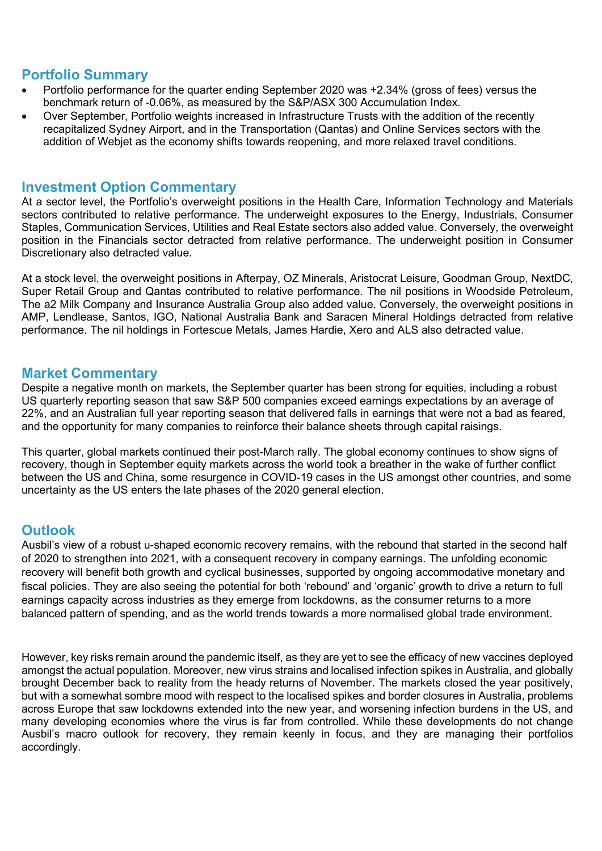### **Portfolio Summary**

- Portfolio performance for the quarter ending September 2020 was +2.34% (gross of fees) versus the benchmark return of -0.06%, as measured by the S&P/ASX 300 Accumulation Index.
- Over September, Portfolio weights increased in Infrastructure Trusts with the addition of the recently recapitalized Sydney Airport, and in the Transportation (Qantas) and Online Services sectors with the addition of Webjet as the economy shifts towards reopening, and more relaxed travel conditions.

#### **Investment Option Commentary**

At a sector level, the Portfolio's overweight positions in the Health Care, Information Technology and Materials sectors contributed to relative performance. The underweight exposures to the Energy, Industrials, Consumer Staples, Communication Services, Utilities and Real Estate sectors also added value. Conversely, the overweight position in the Financials sector detracted from relative performance. The underweight position in Consumer Discretionary also detracted value.

At a stock level, the overweight positions in Afterpay, OZ Minerals, Aristocrat Leisure, Goodman Group, NextDC, Super Retail Group and Qantas contributed to relative performance. The nil positions in Woodside Petroleum, The a2 Milk Company and Insurance Australia Group also added value. Conversely, the overweight positions in AMP, Lendlease, Santos, IGO, National Australia Bank and Saracen Mineral Holdings detracted from relative performance. The nil holdings in Fortescue Metals, James Hardie, Xero and ALS also detracted value.

#### **Market Commentary**

Despite a negative month on markets, the September quarter has been strong for equities, including a robust US quarterly reporting season that saw S&P 500 companies exceed earnings expectations by an average of 22%, and an Australian full year reporting season that delivered falls in earnings that were not a bad as feared, and the opportunity for many companies to reinforce their balance sheets through capital raisings.

This quarter, global markets continued their post-March rally. The global economy continues to show signs of recovery, though in September equity markets across the world took a breather in the wake of further conflict between the US and China, some resurgence in COVID-19 cases in the US amongst other countries, and some uncertainty as the US enters the late phases of the 2020 general election.

#### **Outlook**

Ausbil's view of a robust u-shaped economic recovery remains, with the rebound that started in the second half of 2020 to strengthen into 2021, with a consequent recovery in company earnings. The unfolding economic recovery will benefit both growth and cyclical businesses, supported by ongoing accommodative monetary and fiscal policies. They are also seeing the potential for both 'rebound' and 'organic' growth to drive a return to full earnings capacity across industries as they emerge from lockdowns, as the consumer returns to a more balanced pattern of spending, and as the world trends towards a more normalised global trade environment.

However, key risks remain around the pandemic itself, as they are yet to see the efficacy of new vaccines deployed amongst the actual population. Moreover, new virus strains and localised infection spikes in Australia, and globally brought December back to reality from the heady returns of November. The markets closed the year positively, but with a somewhat sombre mood with respect to the localised spikes and border closures in Australia, problems across Europe that saw lockdowns extended into the new year, and worsening infection burdens in the US, and many developing economies where the virus is far from controlled. While these developments do not change Ausbil's macro outlook for recovery, they remain keenly in focus, and they are managing their portfolios accordingly.